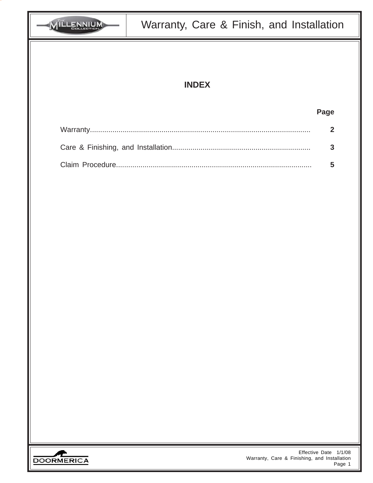| <b>VILLENNIUM</b> | Warranty, Care & Finish, and Installation    |                                 |  |  |
|-------------------|----------------------------------------------|---------------------------------|--|--|
|                   |                                              |                                 |  |  |
| <b>INDEX</b>      |                                              |                                 |  |  |
|                   |                                              |                                 |  |  |
|                   |                                              | Page                            |  |  |
|                   |                                              | $\overline{2}$                  |  |  |
|                   |                                              | 3                               |  |  |
|                   |                                              | 5                               |  |  |
|                   |                                              |                                 |  |  |
|                   |                                              |                                 |  |  |
|                   |                                              |                                 |  |  |
|                   |                                              |                                 |  |  |
|                   |                                              |                                 |  |  |
|                   |                                              |                                 |  |  |
|                   |                                              |                                 |  |  |
|                   |                                              |                                 |  |  |
|                   |                                              |                                 |  |  |
|                   |                                              |                                 |  |  |
|                   |                                              |                                 |  |  |
|                   |                                              |                                 |  |  |
|                   |                                              |                                 |  |  |
|                   |                                              |                                 |  |  |
| <b>DOORMERICA</b> | Warranty, Care & Finishing, and Installation | Effective Date 1/1/08<br>Page 1 |  |  |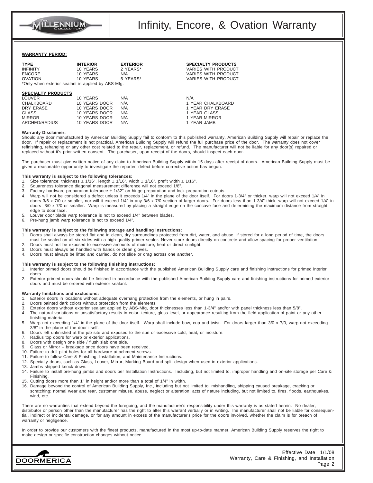

## **WARRANTY PERIOD:**

| <b>TYPE</b>                                        | <b>INTERIOR</b> | <b>EXTERIOR</b> | <b>SPECIALTY PRODUCTS</b>  |  |
|----------------------------------------------------|-----------------|-----------------|----------------------------|--|
| <b>INFINITY</b>                                    | 10 YEARS        | 2 YEARS*        | <b>VARIES WITH PRODUCT</b> |  |
| <b>ENCORE</b>                                      | 10 YEARS        | N/A             | <b>VARIES WITH PRODUCT</b> |  |
| <b>OVATION</b>                                     | 10 YEARS        | 5 YEARS*        | VARIES WITH PRODUCT        |  |
| *Only when exterior sealant is applied by ABS-Mfg. |                 |                 |                            |  |
|                                                    |                 |                 |                            |  |
| <b>SPECIALTY PRODUCTS</b>                          |                 |                 |                            |  |
| <b>LOUVER</b>                                      | 10 YEARS        | N/A             | N/A                        |  |
| CHALKBOARD                                         | 10 YEARS DOOR   | N/A             | 1 YEAR CHALKBOARD          |  |
| DRY ERASE                                          | 10 YEARS DOOR   | N/A             | 1 YEAR DRY ERASE           |  |
| <b>GLASS</b>                                       | 10 YEARS DOOR   | N/A             | 1 YEAR GLASS               |  |
| <b>MIRROR</b>                                      | 10 YEARS DOOR   | N/A             | 1 YEAR MIRROR              |  |
| ARCHED/RADIUS                                      | 10 YEARS DOOR   | N/A             | 1 YEAR JAMB                |  |
|                                                    |                 |                 |                            |  |

#### **Warranty Disclaimer:**

Should any door manufactured by American Building Supply fail to conform to this published warranty, American Building Supply will repair or replace the door. If repair or replacement is not practical, American Building Supply will refund the full purchase price of the door. The warranty does not cover refinishing, rehanging or any other cost related to the repair, replacement, or refund. The manufacturer will not be liable for any door(s) repaired or replaced without it's prior written consent. The purchaser, upon receipt of the doors, should inspect each door.

The purchaser must give written notice of any claim to American Building Supply within 15 days after receipt of doors. American Building Supply must be given a reasonable opportunity to investigate the reported defect before corrective action has begun.

#### **This warranty is subject to the following tolerances:**

- 1. Size tolerance: thickness  $\pm$  1/16", length  $\pm$  1/16", width  $\pm$  1/16", prefit width  $\pm$  1/16".
- 2. Squareness tolerance diagonal measurement difference will not exceed 1/8".
- 3. Factory hardware preparation tolerance  $\pm$  1/32" on hinge preparation and lock preparation cutouts.
- 4. Warp will not be considered a defect unless it exceeds 1/4" in the plane of the door itself. For doors 1-3/4" or thicker, warp will not exceed 1/4" in doors 3/6 x 7/0 or smaller, nor will it exceed 1/4" in any 3/6 x 7/0 section of larger doors. For doors less than 1-3/4" thick, warp will not exceed 1/4" in doors  $3/0$  x 7/0 or smaller. Warp is measured by placing a straight edge on the concave face and determining the maximum distance from straight edge to door face.
- 5. Louver door blade warp tolerance is not to exceed 1/4" between blades.
- 6. Pre-hung jamb warp tolerance is not to exceed 1/4".

#### **This warranty is subject to the following storage and handling instructions:**

- 1. Doors shall always be stored flat and in clean, dry surroundings protected from dirt, water, and abuse. If stored for a long period of time, the doors must be sealed on all six sides with a high quality primer sealer. Never store doors directly on concrete and allow spacing for proper ventilation.
- 2. Doors must not be exposed to excessive amounts of moisture, heat or direct sunlight.<br>3. Doors must always be handled with hands or clean gloves. Doors must always be handled with hands or clean gloves.
- 4. Doors must always be lifted and carried, do not slide or drag across one another.

#### **This warranty is subject to the following finishing instructions:**

- 1. Interior primed doors should be finished in accordance with the published American Building Supply care and finishing instructions for primed interior doors.
- 2. Exterior primed doors should be finished in accordance with the published American Building Supply care and finishing instructions for primed exterior doors and must be ordered with exterior sealant.

#### **Warranty limitations and exclusions:**

- 1. Exterior doors in locations without adequate overhang protection from the elements, or hung in pairs.
- 2. Doors painted dark colors without protection from the elements.
- 3. Exterior doors without exterior sealant applied by ABS-Mfg, door thicknesses less than 1-3/4" and/or with panel thickness less than 5/8".
- 4. The natural variations or unsatisfactory results in color, texture, gloss level, or appearance resulting from the field application of paint or any other finishing material.
- 5. Warp not exceeding 1/4" in the plane of the door itself. Warp shall include bow, cup and twist. For doors larger than 3/0 x 7/0, warp not exceeding 3/8" in the plane of the door itself.
- 6. Doors left unfinished at the job site and exposed to the sun or excessive cold, heat, or moisture.<br>7. Radius top doors for warp or exterior applications
- Radius top doors for warp or exterior applications.
- 8. Doors with design one side / flush slab one side.
- 9. Glass or Mirror breakage once doors have been received.
- 10. Failure to drill pilot holes for all hardware attachment screws.
- 11. Failure to follow Care & Finishing, Installation, and Maintenance Instructions.
- 12. Specialty doors, such as Glass, Louver, Mirror, Marking Board and split design when used in exterior applications.
- 13. Jambs shipped knock down.
- 14. Failure to install pre-hung jambs and doors per Installation Instructions. Including, but not limited to, improper handling and on-site storage per Care & Finishing.
- 15. Cutting doors more than 1" in height and/or more than a total of 1/4" in width.
- 16. Damage beyond the control of American Building Supply, Inc., including but not limited to, mishandling, shipping caused breakage, cracking or scratching; normal wear and tear, customer misuse, abuse, neglect or alteration; acts of nature including, but not limited to, fires, floods, earthquakes, wind, etc.

There are no warranties that extend beyond the foregoing, and the manufacturer's responsibility under this warranty is as stated herein. No dealer, distributor or person other than the manufacturer has the right to alter this warrant verbally or in writing. The manufacturer shall not be liable for consequential, indirect or incidental damage, or for any amount in excess of the manufacturer's price for the doors involved, whether the claim is for breach of warranty or negligence.

In order to provide our customers with the finest products, manufactured in the most up-to-date manner, American Building Supply reserves the right to make design or specific construction changes without notice.

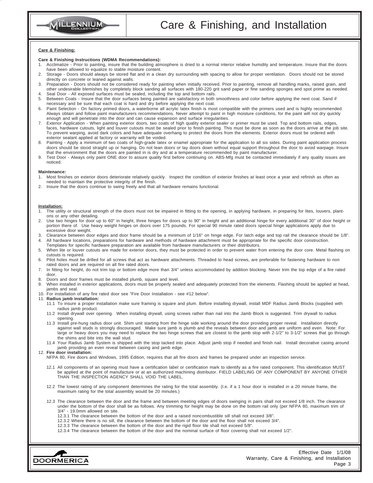

## **Care & Finishing:**

### **Care & Finishing Instructions (WDMA Recommendations):**

- 1. Acclimatize Prior to painting, insure that the building atmosphere is dried to a normal interior relative humidity and temperature. Insure that the doors have been allowed to equalize to stable moisture content.
- 2. Storage Doors should always be stored flat and in a clean dry surrounding with spacing to allow for proper ventilation. Doors should not be stored directly on concrete or leaned against walls.
- 3. Preparation Doors should not be considered ready for painting when initially received. Prior to painting, remove all handling marks, raised grain, and other undesirable blemishes by completely block sanding all surfaces with 180-220 grit sand paper or fine sanding sponges and spot prime as needed. 4. Seal Door - All exposed surfaces must be sealed, including the top and bottom rails.
- 5. Between Coats Insure that the door surfaces being painted are satisfactory in both smoothness and color before applying the next coat. Sand if necessary and be sure that each coat is hard and dry before applying the next coat.
- 6. Paint Selection On factory primed doors, a waterborne all acrylic latex finish is most compatible with the primers used and is highly recommended. Always obtain and follow paint manufacturers recommendations. Never attempt to paint in high moisture conditions, for the paint will not dry quickly enough and will penetrate into the door and can cause expansion and surface irregularities.
- 7. Exterior Application When painting exterior doors, two coats of high quality exterior sealer or primer must be used. Top and bottom rails, edges, faces, hardware cutouts, light and louver cutouts must be sealed prior to finish painting. This must be done as soon as the doors arrive at the job site. To prevent warping, avoid dark colors and have adequate overhang to protect the doors from the elements. Exterior doors must be ordered with exterior sealant applied at factory or warranty will be voided.
- 8. Painting Apply a minimum of two coats of high-grade latex or enamel appropriate for the application to all six sides. During paint application process doors should be stood straight up or hanging. Do not lean doors or lay doors down without equal support throughout the door to avoid warpage. Insure that the environment that the doors are painted in is dry and at a temperature recommended by paint manufacturer.
- 9. Test Door Always only paint ONE door to assure quality first before continuing on. ABS-Mfg must be contacted immediately if any quality issues are noticed.

## **Maintenance:**<br>1. Most finish

- Most finishes on exterior doors deteriorate relatively quickly. Inspect the condition of exterior finishes at least once a year and refinish as often as needed to maintain the protective integrity of the finish.
- 2. Insure that the doors continue to swing freely and that all hardware remains functional.

#### **Installation:**

- The utility or structural strength of the doors must not be impaired in fitting to the opening, in applying hardware, in preparing for lites, louvers, plantons or any other detailing.
- 2. Use two hinges for door up to 60" in height, three hinges for doors up to 90" in height and an additional hinge for every additional 30" of door height or portion there of. Use heavy weight hinges on doors over 175 pounds. For special 90 minute rated doors special hinge applications apply due to excessive door weight.
- 3. Clearance between door edges and door frame should be a minimum of 1/16" on hinge edge. For latch edge and top rail the clearance should be 1/8". 4. All hardware locations, preparations for hardware and methods of hardware attachment must be appropriate for the specific door construction.
- Templates for specific hardware preparation are available from hardware manufacturers or their distributors. 5. When lite or louver cutouts are made for exterior doors, they must be protected in order to prevent water from entering the door core. Metal flashing on cutouts is required.
- 6. Pilot holes must be drilled for all screws that act as hardware attachments. Threaded to head screws, are preferable for fastening hardware to non rated doors and are required on all fire rated doors.
- 7. In fitting for height, do not trim top or bottom edge more than 3/4" unless accommodated by addition blocking. Never trim the top edge of a fire rated door.
- 8. Doors and door frames must be installed plumb, square and level.
- 9. When installed in exterior applications, doors must be properly sealed and adequately protected from the elements. Flashing should be applied at head, jambs and seal.
- 10. For installation of any fire rated door see "Fire Door Installation see #12 below".

#### 11. **Radius jamb installation:**

- 11.1 To insure a proper installation make sure framing is square and plum. Before installing drywall, install MDF Radius Jamb Blocks (supplied with radius jamb product.
- 11.2 Install drywall over opening. When installing drywall, using screws rather than nail into the Jamb Block is suggested. Trim drywall to radius opening.
- 11.3 Install pre-hung radius door unit. Shim unit starting from the hinge side working around the door providing proper reveal. Installation directly against wall studs is strongly discouraged. Make sure jamb is plumb and the reveals between door and jamb are uniform and even. Note: For large or heavy doors you may need to replace the two hinge screws that are closest to the jamb stop with 2-1/2" to 3-1/2" screws that go through the shims and bite into the wall stud.
- 11.4 Your Radius Jamb System is shipped with the stop tacked into place. Adjust jamb stop if needed and finish nail. Install decorative casing around jamb providing an even reveal between casing and jamb edge.

#### 12. **Fire door installation:**

- NFPA 80, Fire doors and Windows, 1995 Edition, requires that all fire doors and frames be prepared under an inspection service.
- 12.1 All components of an opening must have a certification label or certification mark to identify as a fire rated component. This identification MUST be applied at the point of manufacture or at an authorized machining distributor. FIELD LABELING OF ANY COMPONENT BY ANYONE OTHER THAN THE INSPECTION AGENCY SHALL VOID THE LABEL.
- 12.2 The lowest rating of any component determines the rating for the total assembly. (I.e. if a 1 hour door is installed in a 20 minute frame, the maximum rating for the total assembly would be 20 minutes.)
- 12.3 The clearance between the door and the frame and between meeting edges of doors swinging in pairs shall not exceed 1/8 inch. The clearance under the bottom of the door shall be as follows. Any trimming for height may be done on the bottom rail only (per NFPA 80, maximum trim of 3/4" - 19.0mm allowed on site.
	- 12.3.1 The clearance between the bottom of the door and a raised noncombustible sill shall not exceed 3/8".
	- 12.3.2 Where there is no sill, the clearance between the bottom of the door and the floor shall not exceed 3/4".
	- 12.3.3 The clearance between the bottom of the door and the rigid floor tile shall not exceed 5/8".
	- 12.3.4 The clearance between the bottom of the door and the nominal surface of floor covering shall not exceed 1/2".

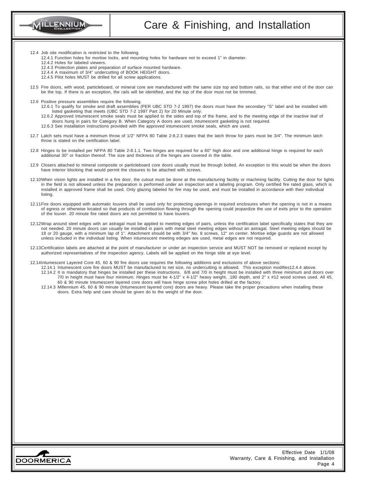

- 12.4 Job site modification is restricted to the following.
	- 12.4.1 Function holes for mortise locks, and mounting holes for hardware not to exceed 1" in diameter.
	- 12.4.2 Holes for labeled viewers.
	- 12.4.3 Protection plates and preparation of surface mounted hardware.
	- 12.4.4 A maximum of 3/4" undercutting of BOOK HEIGHT doors.
	- 12.4.5 Pilot holes MUST be drilled for all screw applications.
- 12.5 Fire doors, with wood, particleboard, or mineral core are manufactured with the same size top and bottom rails, so that either end of the door can be the top. If there is an exception, the rails will be identified, and the top of the door must not be trimmed.
- 12.6 Positive pressure assemblies require the following.
	- 12.6.1 To qualify for smoke and draft assemblies (PER UBC STD 7-2 1997) the doors must have the secondary "S" label and be installed with listed gasketing that meets (UBC STD 7-2 1997 Part 2) for 20 Minute only.

12.6.2 Approved intumescent smoke seals must be applied to the sides and top of the frame, and to the meeting edge of the inactive leaf of doors hung in pairs for Category B. When Category A doors are used, intumescent gasketing is not required. 12.6.3 See installation instructions provided with the approved intumescent smoke seals, which are used.

- 12.7 Latch sets must have a minimum throw of 1/2" NFPA 80 Table 2-8.2.3 states that the latch throw for pairs must be 3/4". The minimum latch throw is stated on the certification label.
- 12.8 Hinges to be installed per NFPA 80 Table 2-8.1.1. Two hinges are required for a 60" high door and one additional hinge is required for each additional 30" or fraction thereof. The size and thickness of the hinges are covered in the table.
- 12.9 Closers attached to mineral composite or particleboard core doors usually must be through bolted. An exception to this would be when the doors have interior blocking that would permit the closures to be attached with screws.
- 12.10When vision lights are installed in a fire door, the cutout must be done at the manufacturing facility or machining facility. Cutting the door for lights in the field is not allowed unless the preparation is performed under an inspection and a labeling program. Only certified fire rated glass, which is installed in approved frame shall be used. Only glazing labeled for fire may be used, and must be installed in accordance with their individual listing.
- 12.11Fire doors equipped with automatic louvers shall be used only for protecting openings in required enclosures when the opening is not in a means of egress or otherwise located so that products of combustion flowing through the opening could jeopardize the use of exits prior to the operation of the louver. 20 minute fire rated doors are not permitted to have louvers.
- 12.12Wrap around steel edges with an astragal must be applied to meeting edges of pairs, unless the certification label specifically states that they are not needed. 20 minute doors can usually be installed in pairs with metal steel meeting edges without an astragal. Steel meeting edges should be 18 or 20 gauge, with a minimum lap of 1". Attachment should be with 3/4" No. 8 screws, 12" on center. Mortise edge guards are not allowed unless included in the individual listing. When intumescent meeting edeges are used, metal edges are not required.
- 12.13Certification labels are attached at the point of manufacturer or under an inspection service and MUST NOT be removed or replaced except by authorized representatives of the inspection agency. Labels will be applied on the hinge stile at eye level.
- 12.14Intumescent Layered Core 45, 60 & 90 fire doors use requires the following additions and exclusions of above sections:
	- 12.14.1 Intumescent core fire doors MUST be manufactured to net size, no undercutting is allowed. This exception modifies12.4.4 above. 12.14.2 It is mandatory that hinges be installed per these instructions. 6/8 and 7/0 in height must be installed with three minimum and doors over 7/0 in height must have four minimum. Hinges must be 4-1/2" x 4-1/2" heavy weight, .180 depth, and 2" x #12 wood screws used. All 45, 60 & 90 minute Intumescent layered core doors will have hinge screw pilot holes drilled at the factory.
	- 12.14.3 Millennium 45, 60 & 90 minute (Intumescent layered core) doors are heavy. Please take the proper precautions when installing these doors. Extra help and care should be given do to the weight of the door.